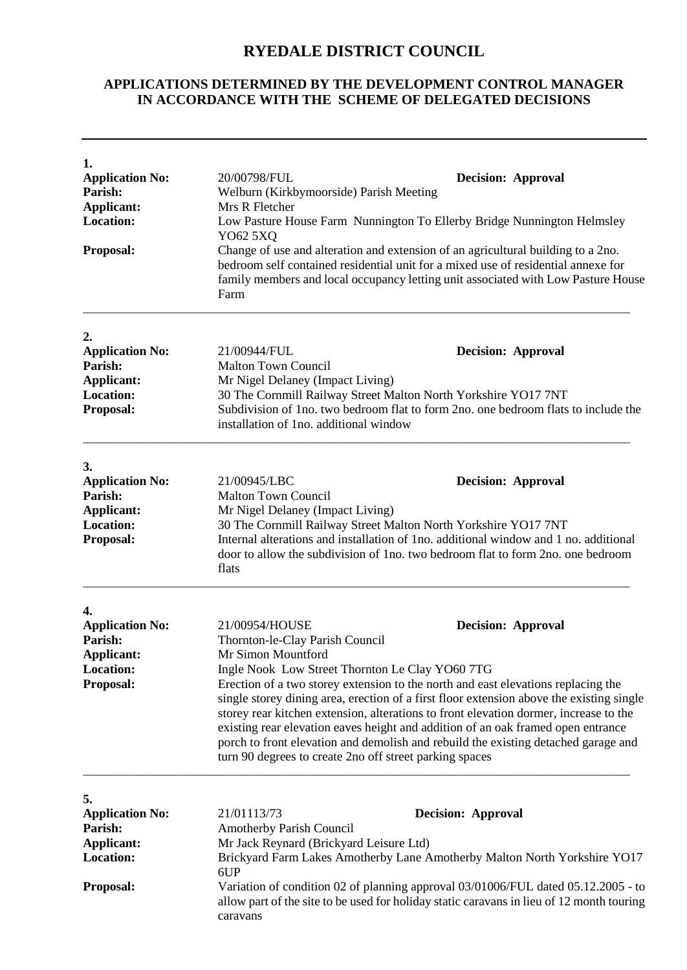## **RYEDALE DISTRICT COUNCIL**

## **APPLICATIONS DETERMINED BY THE DEVELOPMENT CONTROL MANAGER IN ACCORDANCE WITH THE SCHEME OF DELEGATED DECISIONS**

| 1.<br><b>Application No:</b><br><b>Parish:</b><br>Applicant:<br><b>Location:</b><br><b>Proposal:</b> | 20/00798/FUL<br><b>Decision: Approval</b><br>Welburn (Kirkbymoorside) Parish Meeting<br>Mrs R Fletcher<br>Low Pasture House Farm Nunnington To Ellerby Bridge Nunnington Helmsley<br>YO62 5XQ<br>Change of use and alteration and extension of an agricultural building to a 2no.<br>bedroom self contained residential unit for a mixed use of residential annexe for<br>family members and local occupancy letting unit associated with Low Pasture House<br>Farm                                                                                                                                                                                                    |  |  |
|------------------------------------------------------------------------------------------------------|------------------------------------------------------------------------------------------------------------------------------------------------------------------------------------------------------------------------------------------------------------------------------------------------------------------------------------------------------------------------------------------------------------------------------------------------------------------------------------------------------------------------------------------------------------------------------------------------------------------------------------------------------------------------|--|--|
| 2.<br><b>Application No:</b><br>Parish:<br><b>Applicant:</b><br><b>Location:</b><br><b>Proposal:</b> | 21/00944/FUL<br><b>Decision: Approval</b><br><b>Malton Town Council</b><br>Mr Nigel Delaney (Impact Living)<br>30 The Cornmill Railway Street Malton North Yorkshire YO17 7NT<br>Subdivision of 1no. two bedroom flat to form 2no. one bedroom flats to include the<br>installation of 1no. additional window                                                                                                                                                                                                                                                                                                                                                          |  |  |
| 3.<br><b>Application No:</b><br>Parish:<br>Applicant:<br><b>Location:</b><br>Proposal:               | 21/00945/LBC<br><b>Decision: Approval</b><br><b>Malton Town Council</b><br>Mr Nigel Delaney (Impact Living)<br>30 The Cornmill Railway Street Malton North Yorkshire YO17 7NT<br>Internal alterations and installation of 1no. additional window and 1 no. additional<br>door to allow the subdivision of 1 no. two bedroom flat to form 2 no. one bedroom<br>flats                                                                                                                                                                                                                                                                                                    |  |  |
| 4.<br><b>Application No:</b><br>Parish:<br><b>Applicant:</b><br><b>Location:</b><br>Proposal:        | 21/00954/HOUSE<br><b>Decision: Approval</b><br>Thornton-le-Clay Parish Council<br>Mr Simon Mountford<br>Ingle Nook Low Street Thornton Le Clay YO60 7TG<br>Erection of a two storey extension to the north and east elevations replacing the<br>single storey dining area, erection of a first floor extension above the existing single<br>storey rear kitchen extension, alterations to front elevation dormer, increase to the<br>existing rear elevation eaves height and addition of an oak framed open entrance<br>porch to front elevation and demolish and rebuild the existing detached garage and<br>turn 90 degrees to create 2no off street parking spaces |  |  |
| 5.<br><b>Application No:</b><br>Parish:<br><b>Applicant:</b><br><b>Location:</b><br><b>Proposal:</b> | 21/01113/73<br><b>Decision: Approval</b><br><b>Amotherby Parish Council</b><br>Mr Jack Reynard (Brickyard Leisure Ltd)<br>Brickyard Farm Lakes Amotherby Lane Amotherby Malton North Yorkshire YO17<br>6UP<br>Variation of condition 02 of planning approval 03/01006/FUL dated 05.12.2005 - to<br>allow part of the site to be used for holiday static caravans in lieu of 12 month touring<br>caravans                                                                                                                                                                                                                                                               |  |  |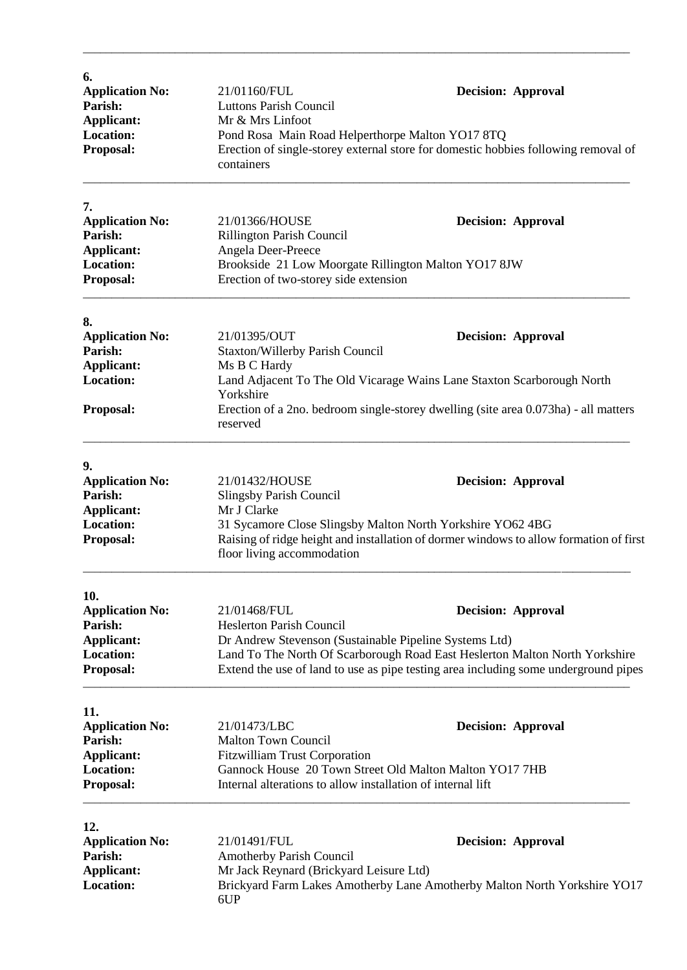| 6.                                |                                                                                                                                                                                    |                           |  |  |
|-----------------------------------|------------------------------------------------------------------------------------------------------------------------------------------------------------------------------------|---------------------------|--|--|
| <b>Application No:</b>            | 21/01160/FUL                                                                                                                                                                       | <b>Decision: Approval</b> |  |  |
| Parish:                           | <b>Luttons Parish Council</b>                                                                                                                                                      |                           |  |  |
| Applicant:                        | Mr & Mrs Linfoot                                                                                                                                                                   |                           |  |  |
| <b>Location:</b>                  | Pond Rosa Main Road Helperthorpe Malton YO17 8TQ<br>Erection of single-storey external store for domestic hobbies following removal of<br>containers                               |                           |  |  |
| Proposal:                         |                                                                                                                                                                                    |                           |  |  |
| 7.                                |                                                                                                                                                                                    |                           |  |  |
| <b>Application No:</b>            | 21/01366/HOUSE                                                                                                                                                                     | <b>Decision: Approval</b> |  |  |
| Parish:                           | Rillington Parish Council                                                                                                                                                          |                           |  |  |
| <b>Applicant:</b>                 | Angela Deer-Preece                                                                                                                                                                 |                           |  |  |
| <b>Location:</b>                  | Brookside 21 Low Moorgate Rillington Malton YO17 8JW                                                                                                                               |                           |  |  |
| Proposal:                         | Erection of two-storey side extension                                                                                                                                              |                           |  |  |
| 8.                                |                                                                                                                                                                                    |                           |  |  |
| <b>Application No:</b>            | 21/01395/OUT                                                                                                                                                                       | <b>Decision: Approval</b> |  |  |
| Parish:                           | Staxton/Willerby Parish Council                                                                                                                                                    |                           |  |  |
| Applicant:                        | Ms B C Hardy                                                                                                                                                                       |                           |  |  |
| <b>Location:</b>                  |                                                                                                                                                                                    |                           |  |  |
|                                   | Land Adjacent To The Old Vicarage Wains Lane Staxton Scarborough North<br>Yorkshire                                                                                                |                           |  |  |
| Proposal:                         | Erection of a 2no. bedroom single-storey dwelling (site area 0.073ha) - all matters<br>reserved                                                                                    |                           |  |  |
| 9.                                |                                                                                                                                                                                    |                           |  |  |
| <b>Application No:</b>            | 21/01432/HOUSE                                                                                                                                                                     | <b>Decision: Approval</b> |  |  |
| Parish:                           | Slingsby Parish Council                                                                                                                                                            |                           |  |  |
| Applicant:                        | Mr J Clarke                                                                                                                                                                        |                           |  |  |
| <b>Location:</b>                  |                                                                                                                                                                                    |                           |  |  |
| Proposal:                         | 31 Sycamore Close Slingsby Malton North Yorkshire YO62 4BG<br>Raising of ridge height and installation of dormer windows to allow formation of first<br>floor living accommodation |                           |  |  |
|                                   |                                                                                                                                                                                    |                           |  |  |
| 10.                               |                                                                                                                                                                                    |                           |  |  |
| <b>Application No:</b><br>Parish: | 21/01468/FUL<br><b>Heslerton Parish Council</b>                                                                                                                                    | <b>Decision: Approval</b> |  |  |
|                                   |                                                                                                                                                                                    |                           |  |  |
| Applicant:<br><b>Location:</b>    | Dr Andrew Stevenson (Sustainable Pipeline Systems Ltd)                                                                                                                             |                           |  |  |
|                                   | Land To The North Of Scarborough Road East Heslerton Malton North Yorkshire                                                                                                        |                           |  |  |
| Proposal:                         | Extend the use of land to use as pipe testing area including some underground pipes                                                                                                |                           |  |  |
| 11.                               |                                                                                                                                                                                    |                           |  |  |
| <b>Application No:</b>            | 21/01473/LBC                                                                                                                                                                       | <b>Decision: Approval</b> |  |  |
| Parish:                           | <b>Malton Town Council</b>                                                                                                                                                         |                           |  |  |
| <b>Applicant:</b>                 | <b>Fitzwilliam Trust Corporation</b>                                                                                                                                               |                           |  |  |
| <b>Location:</b>                  | Gannock House 20 Town Street Old Malton Malton YO17 7HB                                                                                                                            |                           |  |  |
| Proposal:                         | Internal alterations to allow installation of internal lift                                                                                                                        |                           |  |  |
| 12.                               |                                                                                                                                                                                    |                           |  |  |
| <b>Application No:</b>            | 21/01491/FUL                                                                                                                                                                       | <b>Decision: Approval</b> |  |  |
| Parish:                           | Amotherby Parish Council                                                                                                                                                           |                           |  |  |
| <b>Applicant:</b>                 | Mr Jack Reynard (Brickyard Leisure Ltd)                                                                                                                                            |                           |  |  |
| <b>Location:</b>                  | Brickyard Farm Lakes Amotherby Lane Amotherby Malton North Yorkshire YO17<br>6UP                                                                                                   |                           |  |  |

\_\_\_\_\_\_\_\_\_\_\_\_\_\_\_\_\_\_\_\_\_\_\_\_\_\_\_\_\_\_\_\_\_\_\_\_\_\_\_\_\_\_\_\_\_\_\_\_\_\_\_\_\_\_\_\_\_\_\_\_\_\_\_\_\_\_\_\_\_\_\_\_\_\_\_\_\_\_\_\_\_\_\_\_\_\_\_\_\_\_\_\_\_\_\_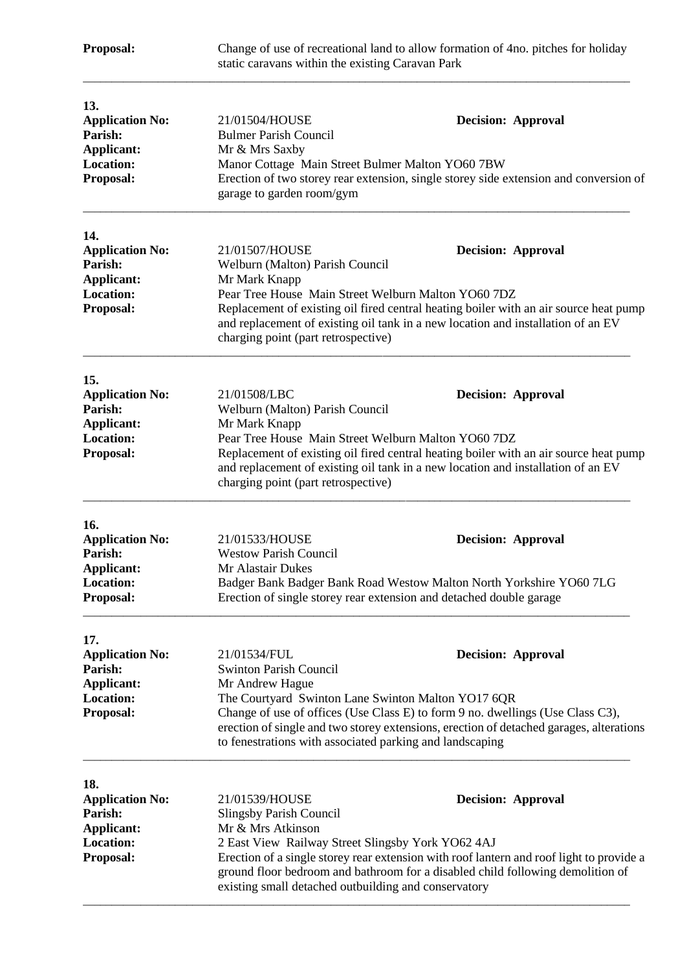| Proposal:                                                                                      | Change of use of recreational land to allow formation of 4no. pitches for holiday<br>static caravans within the existing Caravan Park                                                                                                                                                                                                                                                         |                                                                                                                                                                                                        |  |
|------------------------------------------------------------------------------------------------|-----------------------------------------------------------------------------------------------------------------------------------------------------------------------------------------------------------------------------------------------------------------------------------------------------------------------------------------------------------------------------------------------|--------------------------------------------------------------------------------------------------------------------------------------------------------------------------------------------------------|--|
| 13.<br><b>Application No:</b><br>Parish:<br>Applicant:<br><b>Location:</b><br>Proposal:        | 21/01504/HOUSE<br><b>Bulmer Parish Council</b><br>Mr & Mrs Saxby<br>Manor Cottage Main Street Bulmer Malton YO60 7BW<br>garage to garden room/gym                                                                                                                                                                                                                                             | <b>Decision: Approval</b><br>Erection of two storey rear extension, single storey side extension and conversion of                                                                                     |  |
| 14.<br><b>Application No:</b><br>Parish:<br>Applicant:<br><b>Location:</b><br>Proposal:        | 21/01507/HOUSE<br><b>Decision: Approval</b><br>Welburn (Malton) Parish Council<br>Mr Mark Knapp<br>Pear Tree House Main Street Welburn Malton YO60 7DZ<br>Replacement of existing oil fired central heating boiler with an air source heat pump<br>and replacement of existing oil tank in a new location and installation of an EV<br>charging point (part retrospective)                    |                                                                                                                                                                                                        |  |
| 15.<br><b>Application No:</b><br>Parish:<br>Applicant:<br><b>Location:</b><br>Proposal:        | 21/01508/LBC<br>Welburn (Malton) Parish Council<br>Mr Mark Knapp<br>Pear Tree House Main Street Welburn Malton YO60 7DZ<br>charging point (part retrospective)                                                                                                                                                                                                                                | <b>Decision: Approval</b><br>Replacement of existing oil fired central heating boiler with an air source heat pump<br>and replacement of existing oil tank in a new location and installation of an EV |  |
| 16.<br><b>Application No:</b><br>Parish:<br>Applicant:<br><b>Location:</b><br>Proposal:        | 21/01533/HOUSE<br><b>Westow Parish Council</b><br>Mr Alastair Dukes<br>Erection of single storey rear extension and detached double garage                                                                                                                                                                                                                                                    | <b>Decision: Approval</b><br>Badger Bank Badger Bank Road Westow Malton North Yorkshire YO60 7LG                                                                                                       |  |
| 17.<br><b>Application No:</b><br>Parish:<br><b>Applicant:</b><br><b>Location:</b><br>Proposal: | 21/01534/FUL<br><b>Decision: Approval</b><br><b>Swinton Parish Council</b><br>Mr Andrew Hague<br>The Courtyard Swinton Lane Swinton Malton YO17 6QR<br>Change of use of offices (Use Class E) to form 9 no. dwellings (Use Class C3),<br>erection of single and two storey extensions, erection of detached garages, alterations<br>to fenestrations with associated parking and landscaping  |                                                                                                                                                                                                        |  |
| 18.<br><b>Application No:</b><br>Parish:<br>Applicant:<br>Location:<br>Proposal:               | 21/01539/HOUSE<br><b>Decision: Approval</b><br><b>Slingsby Parish Council</b><br>Mr & Mrs Atkinson<br>2 East View Railway Street Slingsby York YO62 4AJ<br>Erection of a single storey rear extension with roof lantern and roof light to provide a<br>ground floor bedroom and bathroom for a disabled child following demolition of<br>existing small detached outbuilding and conservatory |                                                                                                                                                                                                        |  |

\_\_\_\_\_\_\_\_\_\_\_\_\_\_\_\_\_\_\_\_\_\_\_\_\_\_\_\_\_\_\_\_\_\_\_\_\_\_\_\_\_\_\_\_\_\_\_\_\_\_\_\_\_\_\_\_\_\_\_\_\_\_\_\_\_\_\_\_\_\_\_\_\_\_\_\_\_\_\_\_\_\_\_\_\_\_\_\_\_\_\_\_\_\_\_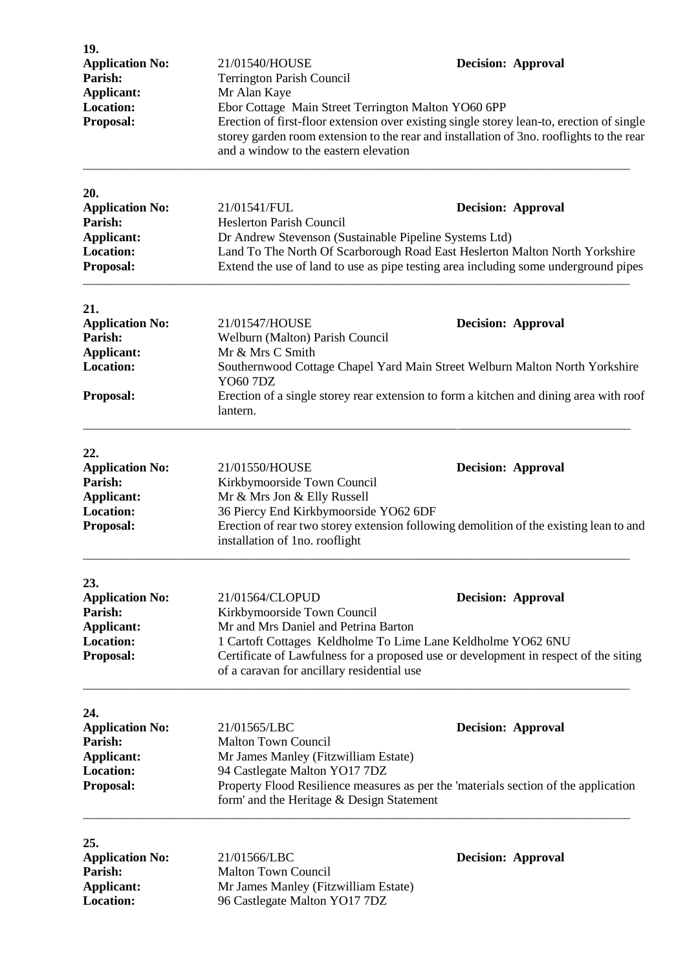| 19.<br><b>Application No:</b><br>Parish:<br><b>Applicant:</b><br><b>Location:</b><br>Proposal: | 21/01540/HOUSE<br>Terrington Parish Council<br>Mr Alan Kaye<br>Ebor Cottage Main Street Terrington Malton YO60 6PP<br>Erection of first-floor extension over existing single storey lean-to, erection of single<br>storey garden room extension to the rear and installation of 3no. rooflights to the rear<br>and a window to the eastern elevation | <b>Decision: Approval</b> |
|------------------------------------------------------------------------------------------------|------------------------------------------------------------------------------------------------------------------------------------------------------------------------------------------------------------------------------------------------------------------------------------------------------------------------------------------------------|---------------------------|
| 20.<br><b>Application No:</b><br>Parish:<br><b>Applicant:</b><br><b>Location:</b><br>Proposal: | 21/01541/FUL<br><b>Heslerton Parish Council</b><br>Dr Andrew Stevenson (Sustainable Pipeline Systems Ltd)<br>Land To The North Of Scarborough Road East Heslerton Malton North Yorkshire<br>Extend the use of land to use as pipe testing area including some underground pipes                                                                      | <b>Decision: Approval</b> |
| 21.<br><b>Application No:</b><br>Parish:<br><b>Applicant:</b><br><b>Location:</b><br>Proposal: | 21/01547/HOUSE<br>Welburn (Malton) Parish Council<br>Mr & Mrs C Smith<br>Southernwood Cottage Chapel Yard Main Street Welburn Malton North Yorkshire<br><b>YO60 7DZ</b><br>Erection of a single storey rear extension to form a kitchen and dining area with roof<br>lantern.                                                                        | <b>Decision: Approval</b> |
| 22.<br><b>Application No:</b><br>Parish:<br>Applicant:<br><b>Location:</b><br>Proposal:        | 21/01550/HOUSE<br>Kirkbymoorside Town Council<br>Mr & Mrs Jon & Elly Russell<br>36 Piercy End Kirkbymoorside YO62 6DF<br>Erection of rear two storey extension following demolition of the existing lean to and<br>installation of 1no. rooflight                                                                                                    | <b>Decision: Approval</b> |
| 23.<br><b>Application No:</b><br>Parish:<br><b>Applicant:</b><br><b>Location:</b><br>Proposal: | 21/01564/CLOPUD<br>Kirkbymoorside Town Council<br>Mr and Mrs Daniel and Petrina Barton<br>1 Cartoft Cottages Keldholme To Lime Lane Keldholme YO62 6NU<br>Certificate of Lawfulness for a proposed use or development in respect of the siting<br>of a caravan for ancillary residential use                                                         | <b>Decision: Approval</b> |
| 24.<br><b>Application No:</b><br>Parish:<br>Applicant:<br><b>Location:</b><br>Proposal:        | 21/01565/LBC<br><b>Malton Town Council</b><br>Mr James Manley (Fitzwilliam Estate)<br>94 Castlegate Malton YO17 7DZ<br>Property Flood Resilience measures as per the 'materials section of the application<br>form' and the Heritage & Design Statement                                                                                              | <b>Decision: Approval</b> |
| 25.<br><b>Application No:</b><br>Parish:<br><b>Applicant:</b><br><b>Location:</b>              | 21/01566/LBC<br><b>Malton Town Council</b><br>Mr James Manley (Fitzwilliam Estate)<br>96 Castlegate Malton YO17 7DZ                                                                                                                                                                                                                                  | <b>Decision: Approval</b> |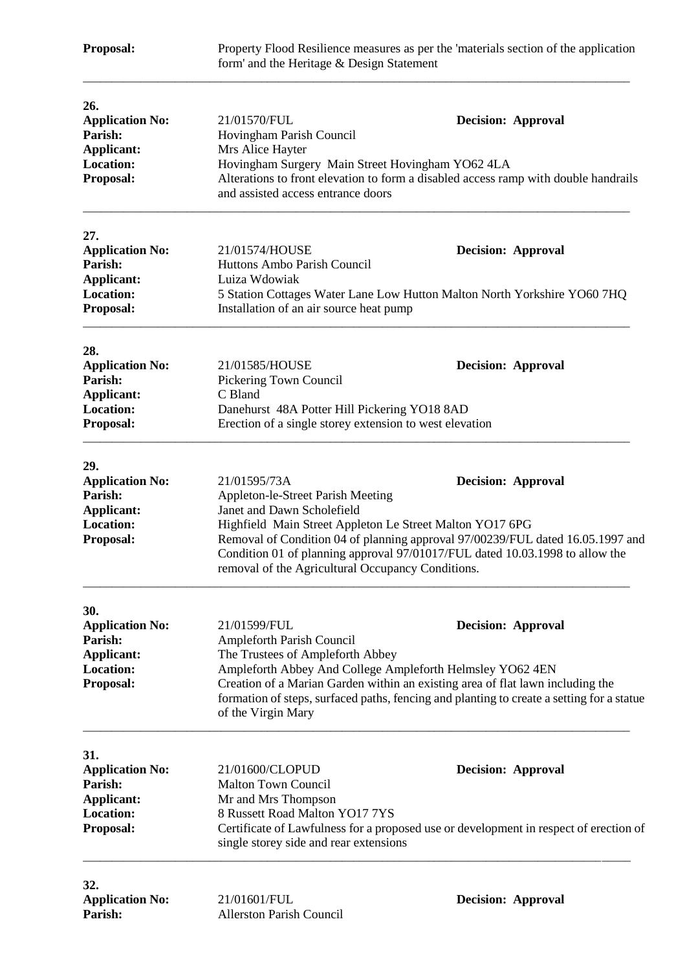| Proposal:                                                                                      | Property Flood Resilience measures as per the 'materials section of the application<br>form' and the Heritage & Design Statement                                                                                                                                                                                                                                                                |                                                                                                                                                                                                          |  |
|------------------------------------------------------------------------------------------------|-------------------------------------------------------------------------------------------------------------------------------------------------------------------------------------------------------------------------------------------------------------------------------------------------------------------------------------------------------------------------------------------------|----------------------------------------------------------------------------------------------------------------------------------------------------------------------------------------------------------|--|
| 26.<br><b>Application No:</b><br>Parish:<br><b>Applicant:</b><br><b>Location:</b><br>Proposal: | 21/01570/FUL<br>Hovingham Parish Council<br>Mrs Alice Hayter<br>Hovingham Surgery Main Street Hovingham YO62 4LA<br>and assisted access entrance doors                                                                                                                                                                                                                                          | <b>Decision: Approval</b><br>Alterations to front elevation to form a disabled access ramp with double handrails                                                                                         |  |
| 27.<br><b>Application No:</b><br>Parish:<br>Applicant:<br>Location:<br>Proposal:               | 21/01574/HOUSE<br><b>Decision: Approval</b><br>Huttons Ambo Parish Council<br>Luiza Wdowiak<br>5 Station Cottages Water Lane Low Hutton Malton North Yorkshire YO60 7HQ<br>Installation of an air source heat pump                                                                                                                                                                              |                                                                                                                                                                                                          |  |
| 28.<br><b>Application No:</b><br>Parish:<br>Applicant:<br><b>Location:</b><br>Proposal:        | 21/01585/HOUSE<br>Pickering Town Council<br>C Bland<br>Danehurst 48A Potter Hill Pickering YO18 8AD<br>Erection of a single storey extension to west elevation                                                                                                                                                                                                                                  | <b>Decision: Approval</b>                                                                                                                                                                                |  |
| 29.<br><b>Application No:</b><br>Parish:<br><b>Applicant:</b><br><b>Location:</b><br>Proposal: | 21/01595/73A<br><b>Decision: Approval</b><br>Appleton-le-Street Parish Meeting<br>Janet and Dawn Scholefield<br>Highfield Main Street Appleton Le Street Malton YO17 6PG<br>Removal of Condition 04 of planning approval 97/00239/FUL dated 16.05.1997 and<br>Condition 01 of planning approval 97/01017/FUL dated 10.03.1998 to allow the<br>removal of the Agricultural Occupancy Conditions. |                                                                                                                                                                                                          |  |
| 30.<br><b>Application No:</b><br>Parish:<br><b>Applicant:</b><br><b>Location:</b><br>Proposal: | 21/01599/FUL<br>Ampleforth Parish Council<br>The Trustees of Ampleforth Abbey<br>Ampleforth Abbey And College Ampleforth Helmsley YO62 4EN<br>of the Virgin Mary                                                                                                                                                                                                                                | <b>Decision: Approval</b><br>Creation of a Marian Garden within an existing area of flat lawn including the<br>formation of steps, surfaced paths, fencing and planting to create a setting for a statue |  |
| 31.<br><b>Application No:</b><br>Parish:<br>Applicant:<br><b>Location:</b><br>Proposal:        | 21/01600/CLOPUD<br><b>Malton Town Council</b><br>Mr and Mrs Thompson<br>8 Russett Road Malton YO17 7YS<br>single storey side and rear extensions                                                                                                                                                                                                                                                | <b>Decision: Approval</b><br>Certificate of Lawfulness for a proposed use or development in respect of erection of                                                                                       |  |
| 32.<br><b>Application No:</b>                                                                  | 21/01601/FUL                                                                                                                                                                                                                                                                                                                                                                                    | <b>Decision: Approval</b>                                                                                                                                                                                |  |

Parish: Allerston Parish Council